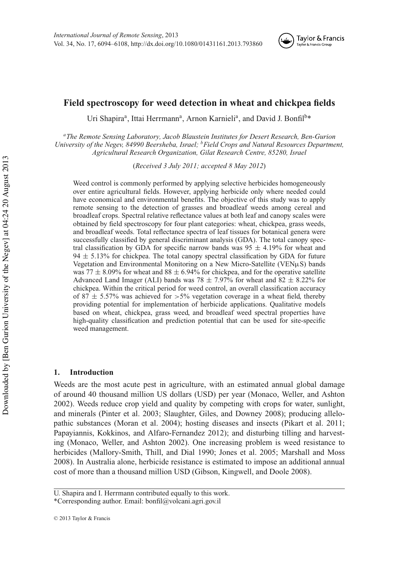

# **Field spectroscopy for weed detection in wheat and chickpea fields**

Uri Shapira<sup>a</sup>, Ittai Herrmann<sup>a</sup>, Arnon Karnieli<sup>a</sup>, and David J. Bonfil<sup>b\*</sup>

*<sup>a</sup>The Remote Sensing Laboratory, Jacob Blaustein Institutes for Desert Research, Ben-Gurion University of the Negev, 84990 Beersheba, Israel; <sup>b</sup>Field Crops and Natural Resources Department, Agricultural Research Organization, Gilat Research Centre, 85280, Israel*

(*Received 3 July 2011; accepted 8 May 2012*)

Weed control is commonly performed by applying selective herbicides homogeneously over entire agricultural fields. However, applying herbicide only where needed could have economical and environmental benefits. The objective of this study was to apply remote sensing to the detection of grasses and broadleaf weeds among cereal and broadleaf crops. Spectral relative reflectance values at both leaf and canopy scales were obtained by field spectroscopy for four plant categories: wheat, chickpea, grass weeds, and broadleaf weeds. Total reflectance spectra of leaf tissues for botanical genera were successfully classified by general discriminant analysis (GDA). The total canopy spectral classification by GDA for specific narrow bands was  $95 \pm 4.19\%$  for wheat and  $94 \pm 5.13\%$  for chickpea. The total canopy spectral classification by GDA for future Vegetation and Environmental Monitoring on a New Micro-Satellite (VENµS) bands was 77  $\pm$  8.09% for wheat and 88  $\pm$  6.94% for chickpea, and for the operative satellite Advanced Land Imager (ALI) bands was 78  $\pm$  7.97% for wheat and 82  $\pm$  8.22% for chickpea. Within the critical period for weed control, an overall classification accuracy of  $87 \pm 5.57\%$  was achieved for  $>5\%$  vegetation coverage in a wheat field, thereby providing potential for implementation of herbicide applications. Qualitative models based on wheat, chickpea, grass weed, and broadleaf weed spectral properties have high-quality classification and prediction potential that can be used for site-specific weed management.

## **1. Introduction**

Weeds are the most acute pest in agriculture, with an estimated annual global damage of around 40 thousand million US dollars (USD) per year (Monaco, Weller, and Ashton 2002). Weeds reduce crop yield and quality by competing with crops for water, sunlight, and minerals (Pinter et al. 2003; Slaughter, Giles, and Downey 2008); producing allelopathic substances (Moran et al. 2004); hosting diseases and insects (Pikart et al. 2011; Papayiannis, Kokkinos, and Alfaro-Fernandez 2012); and disturbing tilling and harvesting (Monaco, Weller, and Ashton 2002). One increasing problem is weed resistance to herbicides (Mallory-Smith, Thill, and Dial 1990; Jones et al. 2005; Marshall and Moss 2008). In Australia alone, herbicide resistance is estimated to impose an additional annual cost of more than a thousand million USD (Gibson, Kingwell, and Doole 2008).

U. Shapira and I. Herrmann contributed equally to this work.

<sup>\*</sup>Corresponding author. Email: [bonfil@volcani.agri.gov.il](mailto:bonfil@volcani.agri.gov.il)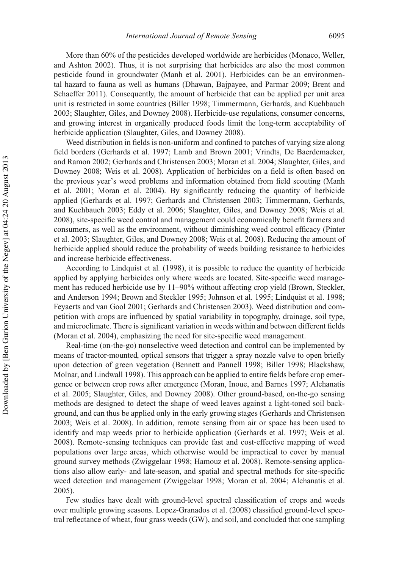More than 60% of the pesticides developed worldwide are herbicides (Monaco, Weller, and Ashton 2002). Thus, it is not surprising that herbicides are also the most common pesticide found in groundwater (Manh et al. 2001). Herbicides can be an environmental hazard to fauna as well as humans (Dhawan, Bajpayee, and Parmar 2009; Brent and Schaeffer 2011). Consequently, the amount of herbicide that can be applied per unit area unit is restricted in some countries (Biller 1998; Timmermann, Gerhards, and Kuehbauch 2003; Slaughter, Giles, and Downey 2008). Herbicide-use regulations, consumer concerns, and growing interest in organically produced foods limit the long-term acceptability of herbicide application (Slaughter, Giles, and Downey 2008).

Weed distribution in fields is non-uniform and confined to patches of varying size along field borders (Gerhards et al. 1997; Lamb and Brown 2001; Vrindts, De Baerdemaeker, and Ramon 2002; Gerhards and Christensen 2003; Moran et al. 2004; Slaughter, Giles, and Downey 2008; Weis et al. 2008). Application of herbicides on a field is often based on the previous year's weed problems and information obtained from field scouting (Manh et al. 2001; Moran et al. 2004). By significantly reducing the quantity of herbicide applied (Gerhards et al. 1997; Gerhards and Christensen 2003; Timmermann, Gerhards, and Kuehbauch 2003; Eddy et al. 2006; Slaughter, Giles, and Downey 2008; Weis et al. 2008), site-specific weed control and management could economically benefit farmers and consumers, as well as the environment, without diminishing weed control efficacy (Pinter et al. 2003; Slaughter, Giles, and Downey 2008; Weis et al. 2008). Reducing the amount of herbicide applied should reduce the probability of weeds building resistance to herbicides and increase herbicide effectiveness.

According to Lindquist et al*.* (1998), it is possible to reduce the quantity of herbicide applied by applying herbicides only where weeds are located. Site-specific weed management has reduced herbicide use by 11–90% without affecting crop yield (Brown, Steckler, and Anderson 1994; Brown and Steckler 1995; Johnson et al. 1995; Lindquist et al. 1998; Feyaerts and van Gool 2001; Gerhards and Christensen 2003). Weed distribution and competition with crops are influenced by spatial variability in topography, drainage, soil type, and microclimate. There is significant variation in weeds within and between different fields (Moran et al. 2004), emphasizing the need for site-specific weed management.

Real-time (on-the-go) nonselective weed detection and control can be implemented by means of tractor-mounted, optical sensors that trigger a spray nozzle valve to open briefly upon detection of green vegetation (Bennett and Pannell 1998; Biller 1998; Blackshaw, Molnar, and Lindwall 1998). This approach can be applied to entire fields before crop emergence or between crop rows after emergence (Moran, Inoue, and Barnes 1997; Alchanatis et al. 2005; Slaughter, Giles, and Downey 2008). Other ground-based, on-the-go sensing methods are designed to detect the shape of weed leaves against a light-toned soil background, and can thus be applied only in the early growing stages (Gerhards and Christensen 2003; Weis et al. 2008). In addition, remote sensing from air or space has been used to identify and map weeds prior to herbicide application (Gerhards et al. 1997; Weis et al. 2008). Remote-sensing techniques can provide fast and cost-effective mapping of weed populations over large areas, which otherwise would be impractical to cover by manual ground survey methods (Zwiggelaar 1998; Hamouz et al. 2008). Remote-sensing applications also allow early- and late-season, and spatial and spectral methods for site-specific weed detection and management (Zwiggelaar 1998; Moran et al. 2004; Alchanatis et al. 2005).

Few studies have dealt with ground-level spectral classification of crops and weeds over multiple growing seasons. Lopez-Granados et al. (2008) classified ground-level spectral reflectance of wheat, four grass weeds (GW), and soil, and concluded that one sampling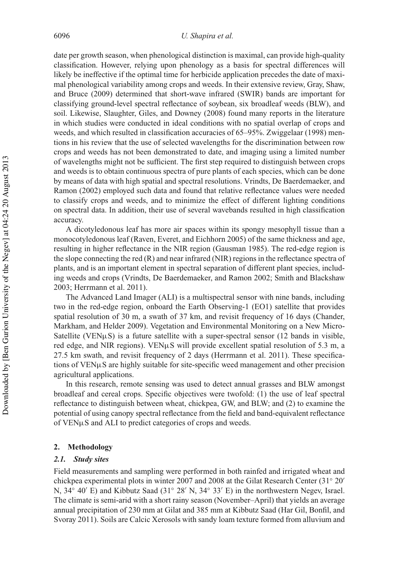date per growth season, when phenological distinction is maximal, can provide high-quality classification. However, relying upon phenology as a basis for spectral differences will likely be ineffective if the optimal time for herbicide application precedes the date of maximal phenological variability among crops and weeds. In their extensive review, Gray, Shaw, and Bruce (2009) determined that short-wave infrared (SWIR) bands are important for classifying ground-level spectral reflectance of soybean, six broadleaf weeds (BLW), and soil. Likewise, Slaughter, Giles, and Downey (2008) found many reports in the literature in which studies were conducted in ideal conditions with no spatial overlap of crops and weeds, and which resulted in classification accuracies of 65–95%. Zwiggelaar (1998) mentions in his review that the use of selected wavelengths for the discrimination between row crops and weeds has not been demonstrated to date, and imaging using a limited number of wavelengths might not be sufficient. The first step required to distinguish between crops and weeds is to obtain continuous spectra of pure plants of each species, which can be done by means of data with high spatial and spectral resolutions. Vrindts, De Baerdemaeker, and Ramon (2002) employed such data and found that relative reflectance values were needed to classify crops and weeds, and to minimize the effect of different lighting conditions on spectral data. In addition, their use of several wavebands resulted in high classification accuracy.

A dicotyledonous leaf has more air spaces within its spongy mesophyll tissue than a monocotyledonous leaf (Raven, Everet, and Eichhorn 2005) of the same thickness and age, resulting in higher reflectance in the NIR region (Gausman 1985). The red-edge region is the slope connecting the red (R) and near infrared (NIR) regions in the reflectance spectra of plants, and is an important element in spectral separation of different plant species, including weeds and crops (Vrindts, De Baerdemaeker, and Ramon 2002; Smith and Blackshaw 2003; Herrmann et al. 2011).

The Advanced Land Imager (ALI) is a multispectral sensor with nine bands, including two in the red-edge region, onboard the Earth Observing-1 (EO1) satellite that provides spatial resolution of 30 m, a swath of 37 km, and revisit frequency of 16 days (Chander, Markham, and Helder 2009). Vegetation and Environmental Monitoring on a New Micro-Satellite (VEN $\mu$ S) is a future satellite with a super-spectral sensor (12 bands in visible, red edge, and NIR regions). VEN $\mu$ S will provide excellent spatial resolution of 5.3 m, a 27.5 km swath, and revisit frequency of 2 days (Herrmann et al. 2011). These specifications of  $VEN\mu S$  are highly suitable for site-specific weed management and other precision agricultural applications.

In this research, remote sensing was used to detect annual grasses and BLW amongst broadleaf and cereal crops. Specific objectives were twofold: (1) the use of leaf spectral reflectance to distinguish between wheat, chickpea, GW, and BLW; and (2) to examine the potential of using canopy spectral reflectance from the field and band-equivalent reflectance of VENµS and ALI to predict categories of crops and weeds.

#### **2. Methodology**

#### *2.1. Study sites*

Field measurements and sampling were performed in both rainfed and irrigated wheat and chickpea experimental plots in winter 2007 and 2008 at the Gilat Research Center (31◦ 20′ N, 34◦ 40′ E) and Kibbutz Saad (31◦ 28′ N, 34◦ 33′ E) in the northwestern Negev, Israel. The climate is semi-arid with a short rainy season (November–April) that yields an average annual precipitation of 230 mm at Gilat and 385 mm at Kibbutz Saad (Har Gil, Bonfil, and Svoray 2011). Soils are Calcic Xerosols with sandy loam texture formed from alluvium and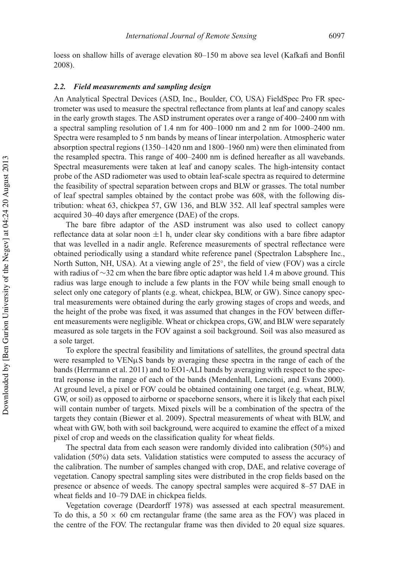loess on shallow hills of average elevation 80–150 m above sea level (Kafkafi and Bonfil 2008).

### *2.2. Field measurements and sampling design*

An Analytical Spectral Devices (ASD, Inc., Boulder, CO, USA) FieldSpec Pro FR spectrometer was used to measure the spectral reflectance from plants at leaf and canopy scales in the early growth stages. The ASD instrument operates over a range of 400–2400 nm with a spectral sampling resolution of 1.4 nm for 400–1000 nm and 2 nm for 1000–2400 nm. Spectra were resampled to 5 nm bands by means of linear interpolation. Atmospheric water absorption spectral regions (1350–1420 nm and 1800–1960 nm) were then eliminated from the resampled spectra. This range of 400–2400 nm is defined hereafter as all wavebands. Spectral measurements were taken at leaf and canopy scales. The high-intensity contact probe of the ASD radiometer was used to obtain leaf-scale spectra as required to determine the feasibility of spectral separation between crops and BLW or grasses. The total number of leaf spectral samples obtained by the contact probe was 608, with the following distribution: wheat 63, chickpea 57, GW 136, and BLW 352. All leaf spectral samples were acquired 30–40 days after emergence (DAE) of the crops.

The bare fibre adaptor of the ASD instrument was also used to collect canopy reflectance data at solar noon  $\pm 1$  h, under clear sky conditions with a bare fibre adaptor that was levelled in a nadir angle. Reference measurements of spectral reflectance were obtained periodically using a standard white reference panel (Spectralon Labsphere Inc., North Sutton, NH, USA). At a viewing angle of 25◦ , the field of view (FOV) was a circle with radius of ∼32 cm when the bare fibre optic adaptor was held 1.4 m above ground. This radius was large enough to include a few plants in the FOV while being small enough to select only one category of plants (e.g. wheat, chickpea, BLW, or GW). Since canopy spectral measurements were obtained during the early growing stages of crops and weeds, and the height of the probe was fixed, it was assumed that changes in the FOV between different measurements were negligible. Wheat or chickpea crops, GW, and BLW were separately measured as sole targets in the FOV against a soil background. Soil was also measured as a sole target.

To explore the spectral feasibility and limitations of satellites, the ground spectral data were resampled to  $VEN\mu S$  bands by averaging these spectra in the range of each of the bands (Herrmann et al. 2011) and to EO1-ALI bands by averaging with respect to the spectral response in the range of each of the bands (Mendenhall, Lencioni, and Evans 2000). At ground level, a pixel or FOV could be obtained containing one target (e.g. wheat, BLW, GW, or soil) as opposed to airborne or spaceborne sensors, where it is likely that each pixel will contain number of targets. Mixed pixels will be a combination of the spectra of the targets they contain (Biewer et al. 2009). Spectral measurements of wheat with BLW, and wheat with GW, both with soil background, were acquired to examine the effect of a mixed pixel of crop and weeds on the classification quality for wheat fields.

The spectral data from each season were randomly divided into calibration (50%) and validation (50%) data sets. Validation statistics were computed to assess the accuracy of the calibration. The number of samples changed with crop, DAE, and relative coverage of vegetation. Canopy spectral sampling sites were distributed in the crop fields based on the presence or absence of weeds. The canopy spectral samples were acquired 8–57 DAE in wheat fields and 10–79 DAE in chickpea fields.

Vegetation coverage (Deardorff 1978) was assessed at each spectral measurement. To do this, a  $50 \times 60$  cm rectangular frame (the same area as the FOV) was placed in the centre of the FOV. The rectangular frame was then divided to 20 equal size squares.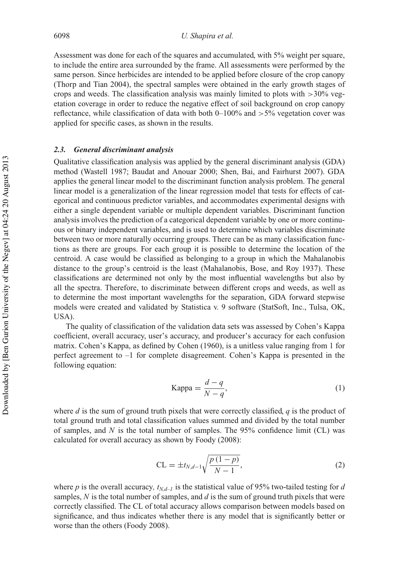Assessment was done for each of the squares and accumulated, with 5% weight per square, to include the entire area surrounded by the frame. All assessments were performed by the same person. Since herbicides are intended to be applied before closure of the crop canopy (Thorp and Tian 2004), the spectral samples were obtained in the early growth stages of crops and weeds. The classification analysis was mainly limited to plots with  $>30\%$  vegetation coverage in order to reduce the negative effect of soil background on crop canopy reflectance, while classification of data with both  $0-100\%$  and  $>5\%$  vegetation cover was applied for specific cases, as shown in the results.

#### *2.3. General discriminant analysis*

Qualitative classification analysis was applied by the general discriminant analysis (GDA) method (Wastell 1987; Baudat and Anouar 2000; Shen, Bai, and Fairhurst 2007). GDA applies the general linear model to the discriminant function analysis problem. The general linear model is a generalization of the linear regression model that tests for effects of categorical and continuous predictor variables, and accommodates experimental designs with either a single dependent variable or multiple dependent variables. Discriminant function analysis involves the prediction of a categorical dependent variable by one or more continuous or binary independent variables, and is used to determine which variables discriminate between two or more naturally occurring groups. There can be as many classification functions as there are groups. For each group it is possible to determine the location of the centroid. A case would be classified as belonging to a group in which the Mahalanobis distance to the group's centroid is the least (Mahalanobis, Bose, and Roy 1937). These classifications are determined not only by the most influential wavelengths but also by all the spectra. Therefore, to discriminate between different crops and weeds, as well as to determine the most important wavelengths for the separation, GDA forward stepwise models were created and validated by Statistica v. 9 software (StatSoft, Inc., Tulsa, OK, USA).

The quality of classification of the validation data sets was assessed by Cohen's Kappa coefficient, overall accuracy, user's accuracy, and producer's accuracy for each confusion matrix. Cohen's Kappa, as defined by Cohen (1960), is a unitless value ranging from 1 for perfect agreement to –1 for complete disagreement. Cohen's Kappa is presented in the following equation:

Kappa = 
$$
\frac{d-q}{N-q}
$$
, (1)

where *d* is the sum of ground truth pixels that were correctly classified,  $q$  is the product of total ground truth and total classification values summed and divided by the total number of samples, and *N* is the total number of samples. The 95% confidence limit (CL) was calculated for overall accuracy as shown by Foody (2008):

$$
CL = \pm t_{N,d-1} \sqrt{\frac{p(1-p)}{N-1}},
$$
\n(2)

where *p* is the overall accuracy,  $t_{N,d-1}$  is the statistical value of 95% two-tailed testing for *d* samples, *N* is the total number of samples, and *d* is the sum of ground truth pixels that were correctly classified. The CL of total accuracy allows comparison between models based on significance, and thus indicates whether there is any model that is significantly better or worse than the others (Foody 2008).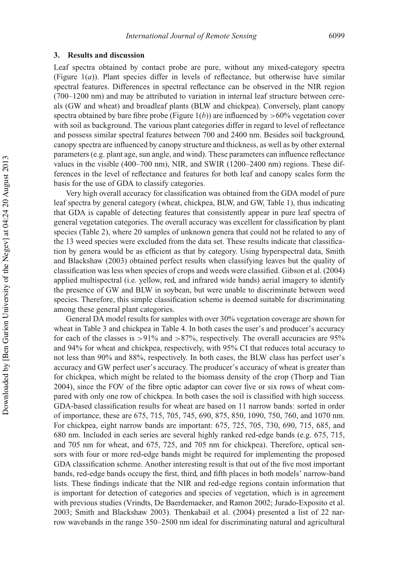### **3. Results and discussion**

Leaf spectra obtained by contact probe are pure, without any mixed-category spectra (Figure 1(*a*)). Plant species differ in levels of reflectance, but otherwise have similar spectral features. Differences in spectral reflectance can be observed in the NIR region (700–1200 nm) and may be attributed to variation in internal leaf structure between cereals (GW and wheat) and broadleaf plants (BLW and chickpea). Conversely, plant canopy spectra obtained by bare fibre probe (Figure  $1(b)$ ) are influenced by  $>60\%$  vegetation cover with soil as background. The various plant categories differ in regard to level of reflectance and possess similar spectral features between 700 and 2400 nm. Besides soil background, canopy spectra are influenced by canopy structure and thickness, as well as by other external parameters (e.g. plant age, sun angle, and wind). These parameters can influence reflectance values in the visible (400–700 nm), NIR, and SWIR (1200–2400 nm) regions. These differences in the level of reflectance and features for both leaf and canopy scales form the basis for the use of GDA to classify categories.

Very high overall accuracy for classification was obtained from the GDA model of pure leaf spectra by general category (wheat, chickpea, BLW, and GW, Table 1), thus indicating that GDA is capable of detecting features that consistently appear in pure leaf spectra of general vegetation categories. The overall accuracy was excellent for classification by plant species (Table 2), where 20 samples of unknown genera that could not be related to any of the 13 weed species were excluded from the data set. These results indicate that classification by genera would be as efficient as that by category. Using hyperspectral data, Smith and Blackshaw (2003) obtained perfect results when classifying leaves but the quality of classification was less when species of crops and weeds were classified. Gibson et al. (2004) applied multispectral (i.e. yellow, red, and infrared wide bands) aerial imagery to identify the presence of GW and BLW in soybean, but were unable to discriminate between weed species. Therefore, this simple classification scheme is deemed suitable for discriminating among these general plant categories.

General DA model results for samples with over 30% vegetation coverage are shown for wheat in Table 3 and chickpea in Table 4. In both cases the user's and producer's accuracy for each of the classes is  $>91\%$  and  $>87\%$ , respectively. The overall accuracies are 95% and 94% for wheat and chickpea, respectively, with 95% CI that reduces total accuracy to not less than 90% and 88%, respectively. In both cases, the BLW class has perfect user's accuracy and GW perfect user's accuracy. The producer's accuracy of wheat is greater than for chickpea, which might be related to the biomass density of the crop (Thorp and Tian 2004), since the FOV of the fibre optic adaptor can cover five or six rows of wheat compared with only one row of chickpea. In both cases the soil is classified with high success. GDA-based classification results for wheat are based on 11 narrow bands: sorted in order of importance, these are 675, 715, 705, 745, 690, 875, 850, 1090, 750, 760, and 1070 nm. For chickpea, eight narrow bands are important: 675, 725, 705, 730, 690, 715, 685, and 680 nm. Included in each series are several highly ranked red-edge bands (e.g. 675, 715, and 705 nm for wheat, and 675, 725, and 705 nm for chickpea). Therefore, optical sensors with four or more red-edge bands might be required for implementing the proposed GDA classification scheme. Another interesting result is that out of the five most important bands, red-edge bands occupy the first, third, and fifth places in both models' narrow-band lists. These findings indicate that the NIR and red-edge regions contain information that is important for detection of categories and species of vegetation, which is in agreement with previous studies (Vrindts, De Baerdemaeker, and Ramon 2002; Jurado-Exposito et al. 2003; Smith and Blackshaw 2003). Thenkabail et al. (2004) presented a list of 22 narrow wavebands in the range 350–2500 nm ideal for discriminating natural and agricultural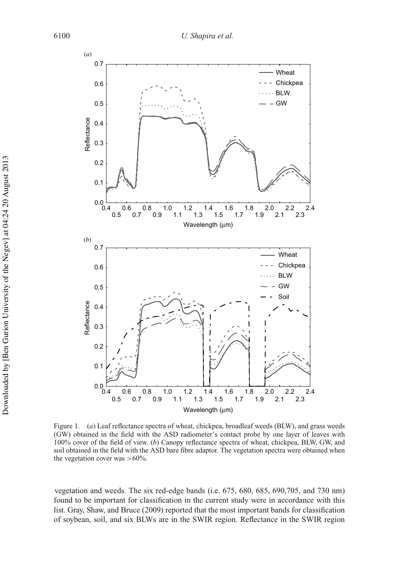

Figure 1. (*a*) Leaf reflectance spectra of wheat, chickpea, broadleaf weeds (BLW), and grass weeds (GW) obtained in the field with the ASD radiometer's contact probe by one layer of leaves with 100% cover of the field of view. (*b*) Canopy reflectance spectra of wheat, chickpea, BLW, GW, and soil obtained in the field with the ASD bare fibre adaptor. The vegetation spectra were obtained when the vegetation cover was  $>60\%$ .

vegetation and weeds. The six red-edge bands (i.e. 675, 680, 685, 690,705, and 730 nm) found to be important for classification in the current study were in accordance with this list. Gray, Shaw, and Bruce (2009) reported that the most important bands for classification of soybean, soil, and six BLWs are in the SWIR region. Reflectance in the SWIR region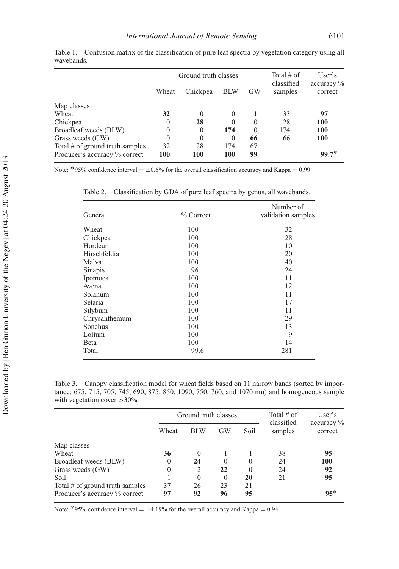|                                   |          | Ground truth classes | Total $#$ of<br>classified | User's<br>$\alpha$ ccuracy $\%$ |         |            |
|-----------------------------------|----------|----------------------|----------------------------|---------------------------------|---------|------------|
|                                   | Wheat    | Chickpea             | <b>BLW</b>                 | <b>GW</b>                       | samples | correct    |
| Map classes                       |          |                      |                            |                                 |         |            |
| Wheat                             | 32       | $\theta$             | $\theta$                   |                                 | 33      | 97         |
| Chickpea                          | $\theta$ | 28                   | $\theta$                   | $\Omega$                        | 28      | 100        |
| Broadleaf weeds (BLW)             | $\Omega$ | $\theta$             | 174                        | $\Omega$                        | 174     | 100        |
| Grass weeds (GW)                  | $\Omega$ | $\theta$             | $\theta$                   | 66                              | 66      | <b>100</b> |
| Total $#$ of ground truth samples | 32       | 28                   | 174                        | 67                              |         |            |
| Producer's accuracy % correct     | 100      | 100                  | 100                        | 99                              |         | $99.7*$    |

Table 1. Confusion matrix of the classification of pure leaf spectra by vegetation category using all wavebands.

Note: \*95% confidence interval =  $\pm 0.6$ % for the overall classification accuracy and Kappa = 0.99.

Table 2. Classification by GDA of pure leaf spectra by genus, all wavebands.

| Genera        | % Correct | Number of<br>validation samples |
|---------------|-----------|---------------------------------|
| Wheat         | 100       | 32                              |
| Chickpea      | 100       | 28                              |
| Hordeum       | 100       | 10                              |
| Hirschfeldia  | 100       | 20                              |
| Malva         | 100       | 40                              |
| Sinapis       | 96        | 24                              |
| Ipomoea       | 100       | 11                              |
| Avena         | 100       | 12                              |
| Solanum       | 100       | 11                              |
| Setaria       | 100       | 17                              |
| Silybum       | 100       | 11                              |
| Chrysanthemum | 100       | 29                              |
| Sonchus       | 100       | 13                              |
| Lolium        | 100       | 9                               |
| Beta          | 100       | 14                              |
| Total         | 99.6      | 281                             |

Table 3. Canopy classification model for wheat fields based on 11 narrow bands (sorted by importance: 675, 715, 705, 745, 690, 875, 850, 1090, 750, 760, and 1070 nm) and homogeneous sample with vegetation cover > 30%.

|                                 |          | Ground truth classes | Total $#$ of | User's   |                       |                                   |  |
|---------------------------------|----------|----------------------|--------------|----------|-----------------------|-----------------------------------|--|
|                                 | Wheat    | <b>BLW</b>           | GW           | Soil     | classified<br>samples | $\alpha$ accuracy $\%$<br>correct |  |
| Map classes                     |          |                      |              |          |                       |                                   |  |
| Wheat                           | 36       | $\Omega$             |              |          | 38                    | 95                                |  |
| Broadleaf weeds (BLW)           | $\theta$ | 24                   | $\theta$     | 0        | 24                    | 100                               |  |
| Grass weeds (GW)                | $\theta$ | 2                    | 22           | $\Omega$ | 24                    | 92                                |  |
| Soil                            |          | $\Omega$             | $\theta$     | 20       | 21                    | 95                                |  |
| Total # of ground truth samples | 37       | 26                   | 23           | 21       |                       |                                   |  |
| Producer's accuracy % correct   | 97       | 92                   | 96           | 95       |                       | $95*$                             |  |

Note: \*95% confidence interval =  $\pm$ 4.19% for the overall accuracy and Kappa = 0.94.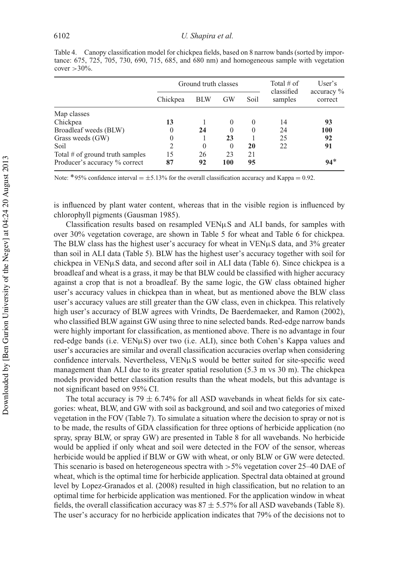Table 4. Canopy classification model for chickpea fields, based on 8 narrow bands (sorted by importance: 675, 725, 705, 730, 690, 715, 685, and 680 nm) and homogeneous sample with vegetation cover  $>30\%$ .

|                                 |              | Ground truth classes | Total $#$ of | User's   |                       |                                   |  |
|---------------------------------|--------------|----------------------|--------------|----------|-----------------------|-----------------------------------|--|
|                                 | Chickpea     | <b>BLW</b>           | <b>GW</b>    | Soil     | classified<br>samples | $\alpha$ accuracy $\%$<br>correct |  |
| Map classes                     |              |                      |              |          |                       |                                   |  |
| Chickpea                        | 13           |                      | $\Omega$     | $\Omega$ | 14                    | 93                                |  |
| Broadleaf weeds (BLW)           | 0            | 24                   | $\theta$     | $\theta$ | 24                    | 100                               |  |
| Grass weeds (GW)                | $\mathbf{0}$ |                      | 23           |          | 25                    | 92                                |  |
| Soil                            | 2            | $\Omega$             | $\Omega$     | 20       | 22                    | 91                                |  |
| Total # of ground truth samples | 15           | 26                   | 23           | 21       |                       |                                   |  |
| Producer's accuracy % correct   | 87           | 92                   | 100          | 95       |                       | $94*$                             |  |

Note: \*95% confidence interval  $= \pm 5.13\%$  for the overall classification accuracy and Kappa = 0.92.

is influenced by plant water content, whereas that in the visible region is influenced by chlorophyll pigments (Gausman 1985).

Classification results based on resampled  $VEN<sub>\mu</sub>S$  and ALI bands, for samples with over 30% vegetation coverage, are shown in Table 5 for wheat and Table 6 for chickpea. The BLW class has the highest user's accuracy for wheat in  $VEN<sub>µ</sub>S$  data, and 3% greater than soil in ALI data (Table 5). BLW has the highest user's accuracy together with soil for chickpea in VENµS data, and second after soil in ALI data (Table 6). Since chickpea is a broadleaf and wheat is a grass, it may be that BLW could be classified with higher accuracy against a crop that is not a broadleaf. By the same logic, the GW class obtained higher user's accuracy values in chickpea than in wheat, but as mentioned above the BLW class user's accuracy values are still greater than the GW class, even in chickpea. This relatively high user's accuracy of BLW agrees with Vrindts, De Baerdemaeker, and Ramon (2002), who classified BLW against GW using three to nine selected bands. Red-edge narrow bands were highly important for classification, as mentioned above. There is no advantage in four red-edge bands (i.e. VENµS) over two (i.e. ALI), since both Cohen's Kappa values and user's accuracies are similar and overall classification accuracies overlap when considering confidence intervals. Nevertheless,  $VEN\mu S$  would be better suited for site-specific weed management than ALI due to its greater spatial resolution (5.3 m vs 30 m). The chickpea models provided better classification results than the wheat models, but this advantage is not significant based on 95% CI.

The total accuracy is 79  $\pm$  6.74% for all ASD wavebands in wheat fields for six categories: wheat, BLW, and GW with soil as background, and soil and two categories of mixed vegetation in the FOV (Table 7). To simulate a situation where the decision to spray or not is to be made, the results of GDA classification for three options of herbicide application (no spray, spray BLW, or spray GW) are presented in Table 8 for all wavebands. No herbicide would be applied if only wheat and soil were detected in the FOV of the sensor, whereas herbicide would be applied if BLW or GW with wheat, or only BLW or GW were detected. This scenario is based on heterogeneous spectra with  $>5\%$  vegetation cover 25–40 DAE of wheat, which is the optimal time for herbicide application. Spectral data obtained at ground level by Lopez-Granados et al. (2008) resulted in high classification, but no relation to an optimal time for herbicide application was mentioned. For the application window in wheat fields, the overall classification accuracy was  $87 \pm 5.57\%$  for all ASD wavebands (Table 8). The user's accuracy for no herbicide application indicates that 79% of the decisions not to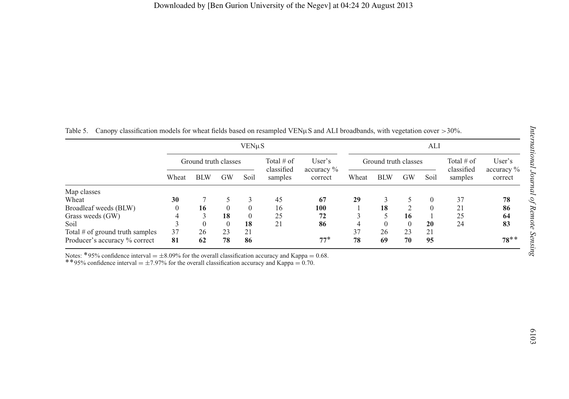| Table 5. Canopy classification models for wheat fields based on resampled VENuS and ALI broadbands, with vegetation cover $>30\%$ . |  |  |  |  |  |
|-------------------------------------------------------------------------------------------------------------------------------------|--|--|--|--|--|
|-------------------------------------------------------------------------------------------------------------------------------------|--|--|--|--|--|

|                     |           | $VEN\muS$            |                       |                                   |                      |            |                | ALI              |                       |                       |  |  |  |
|---------------------|-----------|----------------------|-----------------------|-----------------------------------|----------------------|------------|----------------|------------------|-----------------------|-----------------------|--|--|--|
|                     |           | Ground truth classes |                       | User's                            | Ground truth classes |            |                |                  | Total $#$ of          | User's                |  |  |  |
| Wheat<br><b>BLW</b> | <b>GW</b> | Soil                 | classified<br>samples | $\alpha$ accuracy $\%$<br>correct | Wheat                | <b>BLW</b> | <b>GW</b>      | Soil             | classified<br>samples | accuracy %<br>correct |  |  |  |
|                     |           |                      |                       |                                   |                      |            |                |                  |                       |                       |  |  |  |
|                     | 5         | 3                    | 45                    | 67                                | 29                   | 3          | 5              | $\mathbf{0}$     | 37                    | 78                    |  |  |  |
| 16                  | $\theta$  | $\mathbf{0}$         | 16                    | 100                               |                      | 18         | $\overline{2}$ | $\boldsymbol{0}$ | 21                    | 86                    |  |  |  |
| 3                   | 18        | $\theta$             | 25                    | 72                                |                      | 5          | 16             |                  | 25                    | 64                    |  |  |  |
| $\theta$            | $\theta$  | 18                   | 21                    | 86                                | 4                    | $\theta$   | $\theta$       | 20               | 24                    | 83                    |  |  |  |
| 26                  | 23        | 21                   |                       |                                   | 37                   | 26         | 23             | 21               |                       |                       |  |  |  |
| 62                  | 78        |                      |                       | $77*$                             | 78                   | 69         | 70             | 95               |                       | $78**$                |  |  |  |
|                     |           |                      | 86                    |                                   |                      |            |                |                  |                       |                       |  |  |  |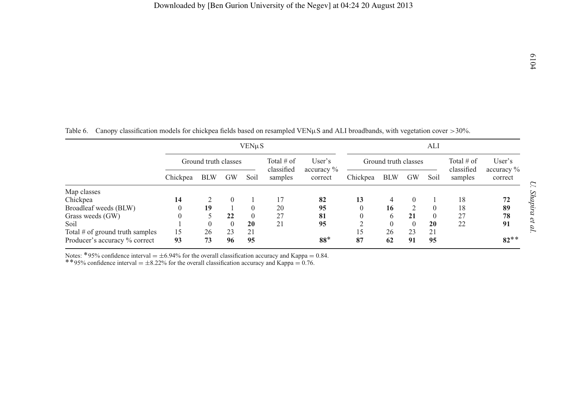|                                 | VENµS                |            |           |                            |                      |                          |          | ALI        |                            |                                  |         |         |
|---------------------------------|----------------------|------------|-----------|----------------------------|----------------------|--------------------------|----------|------------|----------------------------|----------------------------------|---------|---------|
|                                 | Ground truth classes |            |           | Total $#$ of<br>classified | Ground truth classes |                          |          |            | Total $#$ of<br>classified | User's<br>$\alpha$ accuracy $\%$ |         |         |
|                                 | Chickpea             | <b>BLW</b> | <b>GW</b> | Soil                       | samples              | accuracy $\%$<br>correct | Chickpea | <b>BLW</b> | GW                         | Soil                             | samples | correct |
| Map classes                     |                      |            |           |                            |                      |                          |          |            |                            |                                  |         |         |
| Chickpea                        | 14                   |            | $\Omega$  |                            | 17                   | 82                       | 13       | 4          | $\Omega$                   |                                  | 18      | 72      |
| Broadleaf weeds (BLW)           |                      | 19         |           | $\theta$                   | 20                   | 95                       |          | 16         |                            |                                  | 18      | 89      |
| Grass weeds (GW)                |                      |            | 22        | $\Omega$                   | 27                   | 81                       |          | 6          | 21                         |                                  | 27      | 78      |
| Soil                            |                      | 0          |           | 20                         | 21                   | 95                       |          | $\theta$   | $\Omega$                   | 20                               | 22      | 91      |
| Total # of ground truth samples | 15                   | 26         | 23        | 21                         |                      |                          | 15       | 26         | 23                         | 21                               |         |         |
| Producer's accuracy % correct   | 93                   | 73         | 96        | 95                         |                      | $88*$                    | 87       | 62         | 91                         | 95                               |         | $82**$  |

|  |  | Table 6. Canopy classification models for chickpea fields based on resampled VEN $\mu$ S and ALI broadbands, with vegetation cover >30%. |
|--|--|------------------------------------------------------------------------------------------------------------------------------------------|
|  |  |                                                                                                                                          |

Notes: \*95% confidence interval =  $\pm$ 6.94% for the overall classification accuracy and Kappa = 0.76.<br>\*\*95% confidence interval =  $\pm$ 8.22% for the overall classification accuracy and Kappa = 0.76.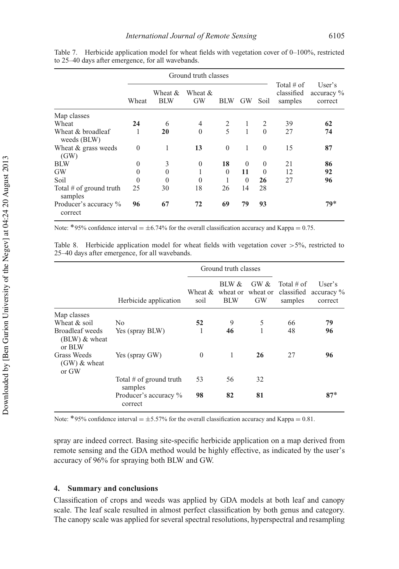|                                      |          | Ground truth classes  |               |            |              |          |                                       |                                 |
|--------------------------------------|----------|-----------------------|---------------|------------|--------------|----------|---------------------------------------|---------------------------------|
|                                      | Wheat    | Wheat &<br><b>BLW</b> | Wheat &<br>GW | <b>BLW</b> | <b>GW</b>    | Soil     | Total $#$ of<br>classified<br>samples | User's<br>accuracy %<br>correct |
| Map classes                          |          |                       |               |            |              |          |                                       |                                 |
| Wheat                                | 24       | 6                     | 4             | 2          | 1            | 2        | 39                                    | 62                              |
| Wheat & broadleaf<br>weeds (BLW)     |          | 20                    | $\theta$      | 5          | $\mathbf{1}$ | $\theta$ | 27                                    | 74                              |
| Wheat & grass weeds<br>(GW)          | $\Omega$ | 1                     | 13            | $\theta$   | 1            | $\theta$ | 15                                    | 87                              |
| <b>BLW</b>                           | $\theta$ | 3                     | $\theta$      | 18         | $\Omega$     | $\theta$ | 21                                    | 86                              |
| GW                                   | $\Omega$ | $\theta$              |               | $\theta$   | 11           | $\theta$ | 12                                    | 92                              |
| Soil                                 | $\Omega$ | $\Omega$              | $\Omega$      |            | $\Omega$     | 26       | 27                                    | 96                              |
| Total $#$ of ground truth<br>samples | 25       | 30                    | 18            | 26         | 14           | 28       |                                       |                                 |
| Producer's accuracy %<br>correct     | 96       | 67                    | 72            | 69         | 79           | 93       |                                       | $79*$                           |

Table 7. Herbicide application model for wheat fields with vegetation cover of 0–100%, restricted to 25–40 days after emergence, for all wavebands.

Note: \*95% confidence interval  $= \pm 6.74\%$  for the overall classification accuracy and Kappa = 0.75.

Table 8. Herbicide application model for wheat fields with vegetation cover  $>5\%$ , restricted to 25–40 days after emergence, for all wavebands.

|                                              |                                      |                 | Ground truth classes |                                        |                          |                                               |
|----------------------------------------------|--------------------------------------|-----------------|----------------------|----------------------------------------|--------------------------|-----------------------------------------------|
|                                              | Herbicide application                | Wheat &<br>soil | BLW &<br><b>BLW</b>  | GW &<br>wheat or wheat or<br><b>GW</b> | Total $\#$ of<br>samples | User's<br>classified accuracy $\%$<br>correct |
| Map classes                                  |                                      |                 |                      |                                        |                          |                                               |
| Wheat $&$ soil                               | N <sub>0</sub>                       | 52              | 9                    | 5                                      | 66                       | 79                                            |
| Broadleaf weeds<br>$(BLW)$ & wheat<br>or BLW | Yes (spray BLW)                      | 1               | 46                   |                                        | 48                       | 96                                            |
| Grass Weeds<br>$(GW)$ & wheat<br>or GW       | Yes (spray GW)                       | $\theta$        | 1                    | 26                                     | 27                       | 96                                            |
|                                              | Total $#$ of ground truth<br>samples | 53              | 56                   | 32                                     |                          |                                               |
|                                              | Producer's accuracy %<br>correct     | 98              | 82                   | 81                                     |                          | $87*$                                         |

Note: \*95% confidence interval =  $\pm$ 5.57% for the overall classification accuracy and Kappa = 0.81.

spray are indeed correct. Basing site-specific herbicide application on a map derived from remote sensing and the GDA method would be highly effective, as indicated by the user's accuracy of 96% for spraying both BLW and GW.

## **4. Summary and conclusions**

Classification of crops and weeds was applied by GDA models at both leaf and canopy scale. The leaf scale resulted in almost perfect classification by both genus and category. The canopy scale was applied for several spectral resolutions, hyperspectral and resampling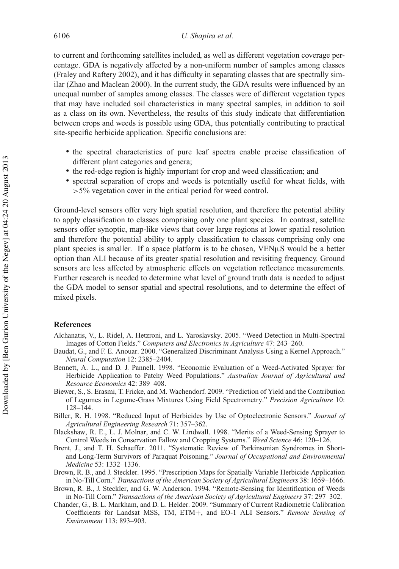to current and forthcoming satellites included, as well as different vegetation coverage percentage. GDA is negatively affected by a non-uniform number of samples among classes (Fraley and Raftery 2002), and it has difficulty in separating classes that are spectrally similar (Zhao and Maclean 2000). In the current study, the GDA results were influenced by an unequal number of samples among classes. The classes were of different vegetation types that may have included soil characteristics in many spectral samples, in addition to soil as a class on its own. Nevertheless, the results of this study indicate that differentiation between crops and weeds is possible using GDA, thus potentially contributing to practical site-specific herbicide application. Specific conclusions are:

- the spectral characteristics of pure leaf spectra enable precise classification of different plant categories and genera;
- the red-edge region is highly important for crop and weed classification; and
- spectral separation of crops and weeds is potentially useful for wheat fields, with >5% vegetation cover in the critical period for weed control.

Ground-level sensors offer very high spatial resolution, and therefore the potential ability to apply classification to classes comprising only one plant species. In contrast, satellite sensors offer synoptic, map-like views that cover large regions at lower spatial resolution and therefore the potential ability to apply classification to classes comprising only one plant species is smaller. If a space platform is to be chosen,  $VEN\mu S$  would be a better option than ALI because of its greater spatial resolution and revisiting frequency. Ground sensors are less affected by atmospheric effects on vegetation reflectance measurements. Further research is needed to determine what level of ground truth data is needed to adjust the GDA model to sensor spatial and spectral resolutions, and to determine the effect of mixed pixels.

## **References**

- Alchanatis, V., L. Ridel, A. Hetzroni, and L. Yaroslavsky. 2005. "Weed Detection in Multi-Spectral Images of Cotton Fields." *Computers and Electronics in Agriculture* 47: 243–260.
- Baudat, G., and F. E. Anouar. 2000. "Generalized Discriminant Analysis Using a Kernel Approach." *Neural Computation* 12: 2385–2404.
- Bennett, A. L., and D. J. Pannell. 1998. "Economic Evaluation of a Weed-Activated Sprayer for Herbicide Application to Patchy Weed Populations." *Australian Journal of Agricultural and Resource Economics* 42: 389–408.
- Biewer, S., S. Erasmi, T. Fricke, and M. Wachendorf. 2009. "Prediction of Yield and the Contribution of Legumes in Legume-Grass Mixtures Using Field Spectrometry." *Precision Agriculture* 10: 128–144.
- Biller, R. H. 1998. "Reduced Input of Herbicides by Use of Optoelectronic Sensors." *Journal of Agricultural Engineering Research* 71: 357–362.
- Blackshaw, R. E., L. J. Molnar, and C. W. Lindwall. 1998. "Merits of a Weed-Sensing Sprayer to Control Weeds in Conservation Fallow and Cropping Systems." *Weed Science* 46: 120–126.
- Brent, J., and T. H. Schaeffer. 2011. "Systematic Review of Parkinsonian Syndromes in Shortand Long-Term Survivors of Paraquat Poisoning." *Journal of Occupational and Environmental Medicine* 53: 1332–1336.
- Brown, R. B., and J. Steckler. 1995. "Prescription Maps for Spatially Variable Herbicide Application in No-Till Corn." *Transactions of the American Society of Agricultural Engineers* 38: 1659–1666.
- Brown, R. B., J. Steckler, and G. W. Anderson. 1994. "Remote-Sensing for Identification of Weeds in No-Till Corn." *Transactions of the American Society of Agricultural Engineers* 37: 297–302.
- Chander, G., B. L. Markham, and D. L. Helder. 2009. "Summary of Current Radiometric Calibration Coefficients for Landsat MSS, TM, ETM+, and EO-1 ALI Sensors." *Remote Sensing of Environment* 113: 893–903.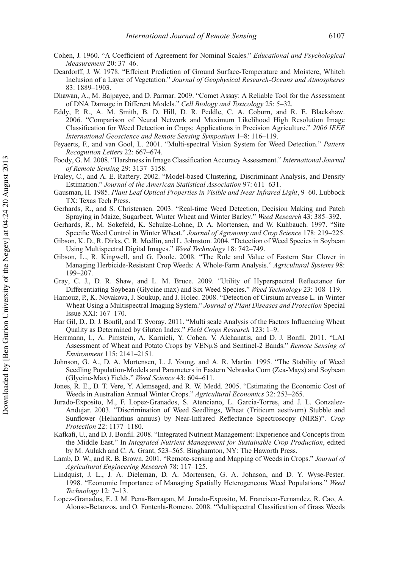- Cohen, J. 1960. "A Coefficient of Agreement for Nominal Scales." *Educational and Psychological Measurement* 20: 37–46.
- Deardorff, J. W. 1978. "Effcient Prediction of Ground Surface-Temperature and Moistere, Whitch Inclusion of a Layer of Vegetation." *Journal of Geophysical Research-Oceans and Atmospheres* 83: 1889–1903.
- Dhawan, A., M. Bajpayee, and D. Parmar. 2009. "Comet Assay: A Reliable Tool for the Assessment of DNA Damage in Different Models." *Cell Biology and Toxicology* 25: 5–32.
- Eddy, P. R., A. M. Smith, B. D. Hill, D. R. Peddle, C. A. Coburn, and R. E. Blackshaw. 2006. "Comparison of Neural Network and Maximum Likelihood High Resolution Image Classification for Weed Detection in Crops: Applications in Precision Agriculture." *2006 IEEE International Geoscience and Remote Sensing Symposium* 1–8: 116–119.
- Feyaerts, F., and van Gool, L. 2001. "Multi-spectral Vision System for Weed Detection." *Pattern Recognition Letters* 22: 667–674.
- Foody, G. M. 2008. "Harshness in Image Classification Accuracy Assessment." *International Journal of Remote Sensing* 29: 3137–3158.
- Fraley, C., and A. E. Raftery. 2002. "Model-based Clustering, Discriminant Analysis, and Density Estimation." *Journal of the American Statistical Association* 97: 611–631.
- Gausman, H. 1985. *Plant Leaf Optical Properties in Visible and Near Infrared Light*, 9–60. Lubbock TX: Texas Tech Press.
- Gerhards, R., and S. Christensen. 2003. "Real-time Weed Detection, Decision Making and Patch Spraying in Maize, Sugarbeet, Winter Wheat and Winter Barley." *Weed Research* 43: 385–392.
- Gerhards, R., M. Sokefeld, K. Schulze-Lohne, D. A. Mortensen, and W. Kuhbauch. 1997. "Site Specific Weed Control in Winter Wheat." *Journal of Agronomy and Crop Science* 178: 219–225.
- Gibson, K. D., R. Dirks, C. R. Medlin, and L. Johnston. 2004. "Detection of Weed Species in Soybean Using Multispectral Digital Images." *Weed Technology* 18: 742–749.
- Gibson, L., R. Kingwell, and G. Doole. 2008. "The Role and Value of Eastern Star Clover in Managing Herbicide-Resistant Crop Weeds: A Whole-Farm Analysis." *Agricultural Systems* 98: 199–207.
- Gray, C. J., D. R. Shaw, and L. M. Bruce. 2009. "Utility of Hyperspectral Reflectance for Differentiating Soybean (Glycine max) and Six Weed Species." *Weed Technology* 23: 108–119.
- Hamouz, P., K. Novakova, J. Soukup, and J. Holec. 2008. "Detection of Cirsium arvense L. in Winter Wheat Using a Multispectral Imaging System." *Journal of Plant Diseases and Protection* Special Issue XXI: 167–170.
- Har Gil, D., D. J. Bonfil, and T. Svoray. 2011. "Multi scale Analysis of the Factors Influencing Wheat Quality as Determined by Gluten Index." *Field Crops Research* 123: 1–9.
- Herrmann, I., A. Pimstein, A. Karnieli, Y. Cohen, V. Alchanatis, and D. J. Bonfil. 2011. "LAI Assessment of Wheat and Potato Crops by VENµS and Sentinel-2 Bands." *Remote Sensing of Environment* 115: 2141–2151.
- Johnson, G. A., D. A. Mortensen, L. J. Young, and A. R. Martin. 1995. "The Stability of Weed Seedling Population-Models and Parameters in Eastern Nebraska Corn (Zea-Mays) and Soybean (Glycine-Max) Fields." *Weed Science* 43: 604–611.
- Jones, R. E., D. T. Vere, Y. Alemseged, and R. W. Medd. 2005. "Estimating the Economic Cost of Weeds in Australian Annual Winter Crops." *Agricultural Economics* 32: 253–265.
- Jurado-Exposito, M., F. Lopez-Granados, S. Atenciano, L. Garcia-Torres, and J. L. Gonzalez-Andujar. 2003. "Discrimination of Weed Seedlings, Wheat (Triticum aestivum) Stubble and Sunflower (Helianthus annuus) by Near-Infrared Reflectance Spectroscopy (NIRS)". *Crop Protection* 22: 1177–1180.
- Kafkafi, U., and D. J. Bonfil. 2008. "Integrated Nutrient Management: Experience and Concepts from the Middle East." In *Integrated Nutrient Management for Sustainable Crop Production*, edited by M. Aulakh and C. A. Grant, 523–565. Binghamton, NY: The Haworth Press.
- Lamb, D. W., and R. B. Brown. 2001. "Remote-sensing and Mapping of Weeds in Crops." *Journal of Agricultural Engineering Research* 78: 117–125.
- Lindquist, J. L., J. A. Dieleman, D. A. Mortensen, G. A. Johnson, and D. Y. Wyse-Pester. 1998. "Economic Importance of Managing Spatially Heterogeneous Weed Populations." *Weed Technology* 12: 7–13.
- Lopez-Granados, F., J. M. Pena-Barragan, M. Jurado-Exposito, M. Francisco-Fernandez, R. Cao, A. Alonso-Betanzos, and O. Fontenla-Romero. 2008. "Multispectral Classification of Grass Weeds